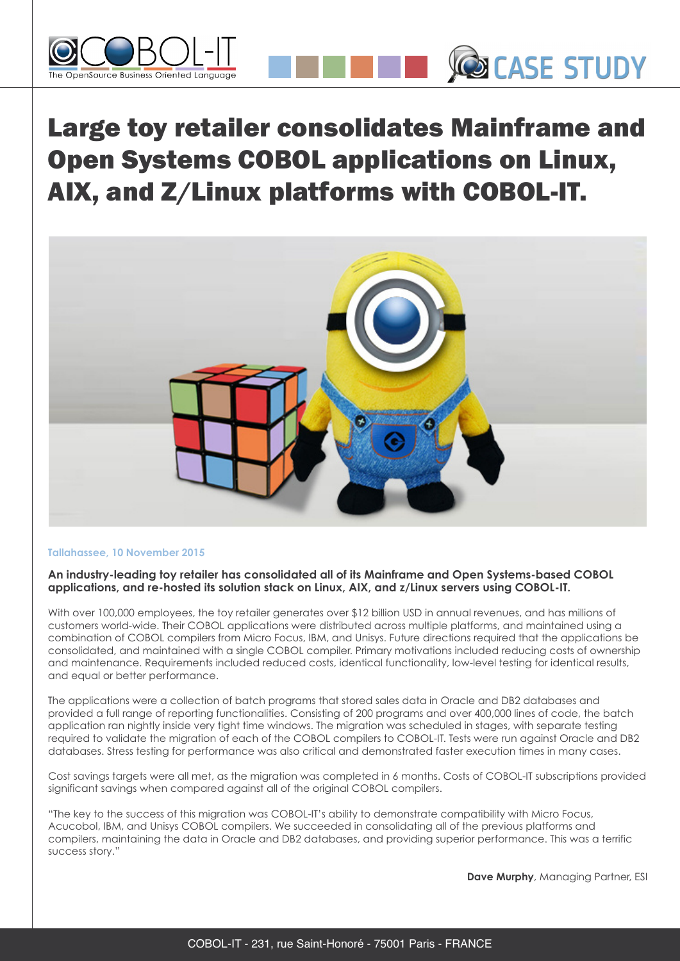





### **Tallahassee, 10 November 2015**

**An industry-leading toy retailer has consolidated all of its Mainframe and Open Systems-based COBOL applications, and re-hosted its solution stack on Linux, AIX, and z/Linux servers using COBOL-IT.**

With over 100,000 employees, the toy retailer generates over \$12 billion USD in annual revenues, and has millions of customers world-wide. Their COBOL applications were distributed across multiple platforms, and maintained using a combination of COBOL compilers from Micro Focus, IBM, and Unisys. Future directions required that the applications be consolidated, and maintained with a single COBOL compiler. Primary motivations included reducing costs of ownership and maintenance. Requirements included reduced costs, identical functionality, low-level testing for identical results, and equal or better performance.

The applications were a collection of batch programs that stored sales data in Oracle and DB2 databases and provided a full range of reporting functionalities. Consisting of 200 programs and over 400,000 lines of code, the batch application ran nightly inside very tight time windows. The migration was scheduled in stages, with separate testing required to validate the migration of each of the COBOL compilers to COBOL-IT. Tests were run against Oracle and DB2 databases. Stress testing for performance was also critical and demonstrated faster execution times in many cases.

Cost savings targets were all met, as the migration was completed in 6 months. Costs of COBOL-IT subscriptions provided significant savings when compared against all of the original COBOL compilers.

"The key to the success of this migration was COBOL-IT's ability to demonstrate compatibility with Micro Focus, Acucobol, IBM, and Unisys COBOL compilers. We succeeded in consolidating all of the previous platforms and compilers, maintaining the data in Oracle and DB2 databases, and providing superior performance. This was a terrific success story."

**Dave Murphy**, Managing Partner, ESI

**CO CASE STUDY**